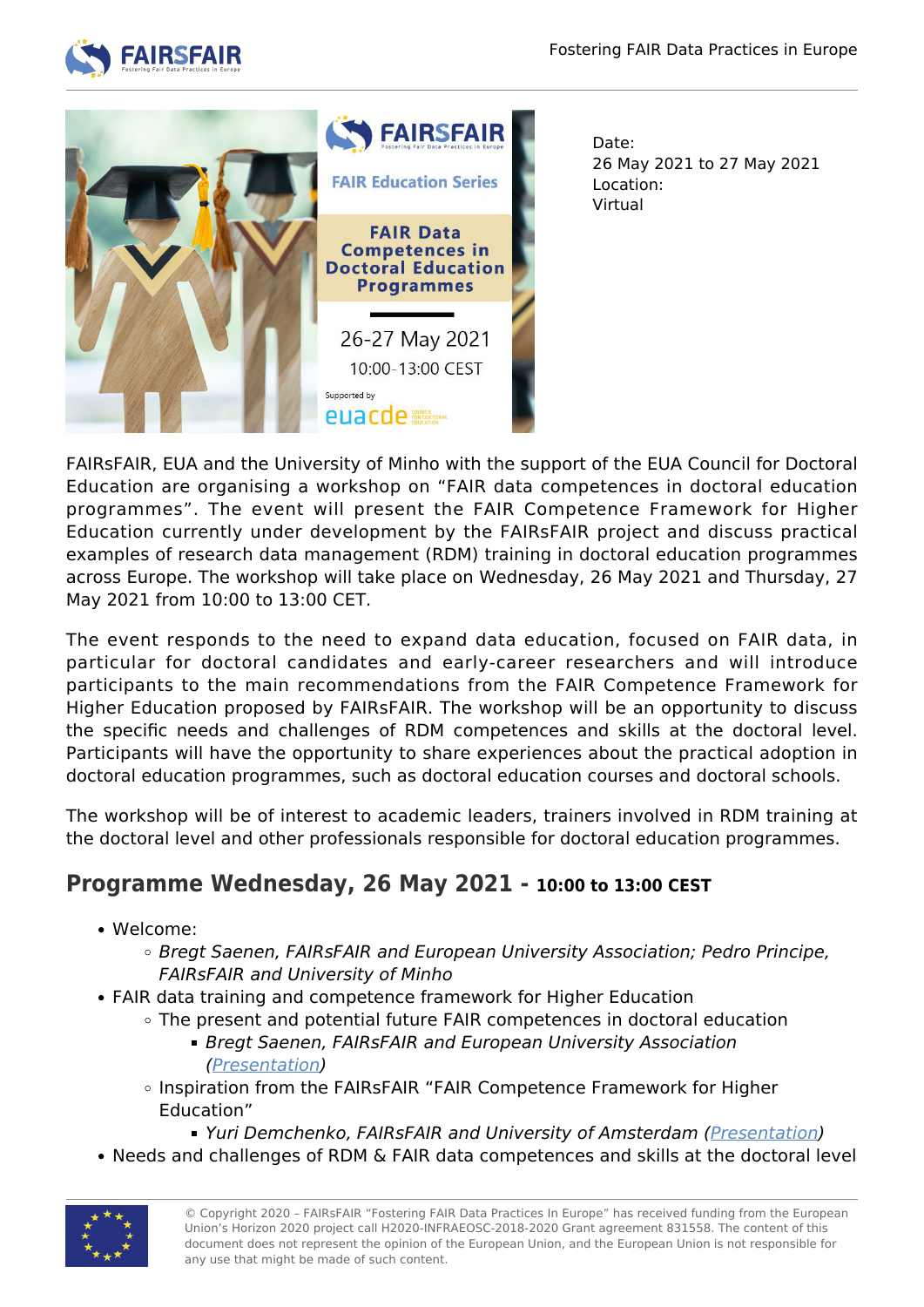



Date: 26 May 2021 to 27 May 2021 Location: Virtual

FAIRsFAIR, EUA and the University of Minho with the support of the EUA Council for Doctoral Education are organising a workshop on "FAIR data competences in doctoral education programmes". The event will present the FAIR Competence Framework for Higher Education currently under development by the FAIRsFAIR project and discuss practical examples of research data management (RDM) training in doctoral education programmes across Europe. The workshop will take place on Wednesday, 26 May 2021 and Thursday, 27 May 2021 from 10:00 to 13:00 CET.

The event responds to the need to expand data education, focused on FAIR data, in particular for doctoral candidates and early-career researchers and will introduce participants to the main recommendations from the FAIR Competence Framework for Higher Education proposed by FAIRsFAIR. The workshop will be an opportunity to discuss the specific needs and challenges of RDM competences and skills at the doctoral level. Participants will have the opportunity to share experiences about the practical adoption in doctoral education programmes, such as doctoral education courses and doctoral schools.

The workshop will be of interest to academic leaders, trainers involved in RDM training at the doctoral level and other professionals responsible for doctoral education programmes.

## **Programme Wednesday, 26 May 2021 - 10:00 to 13:00 CEST**

- Welcome:
	- o Bregt Saenen, FAIRsFAIR and European University Association; Pedro Principe, FAIRsFAIR and University of Minho
- FAIR data training and competence framework for Higher Education
	- $\circ$  The present and potential future FAIR competences in doctoral education
		- **Bregt Saenen, FAIRsFAIR and European University Association** ([Presentation](https://www.fairsfair.eu/sites/default/files/2_FAIRsFAIR_FAIR_competences_in_PhD_BregtSaenen.pdf))
	- o Inspiration from the FAIRsFAIR "FAIR Competence Framework for Higher Education"
		- Yuri Demchenko, FAIRsFAIR and University of Amsterdam ([Presentation](https://www.fairsfair.eu/sites/default/files/3_FAIRsFAIR_rdm-fair-competence-YuriDemchenko.pdf))
- Needs and challenges of RDM & FAIR data competences and skills at the doctoral level